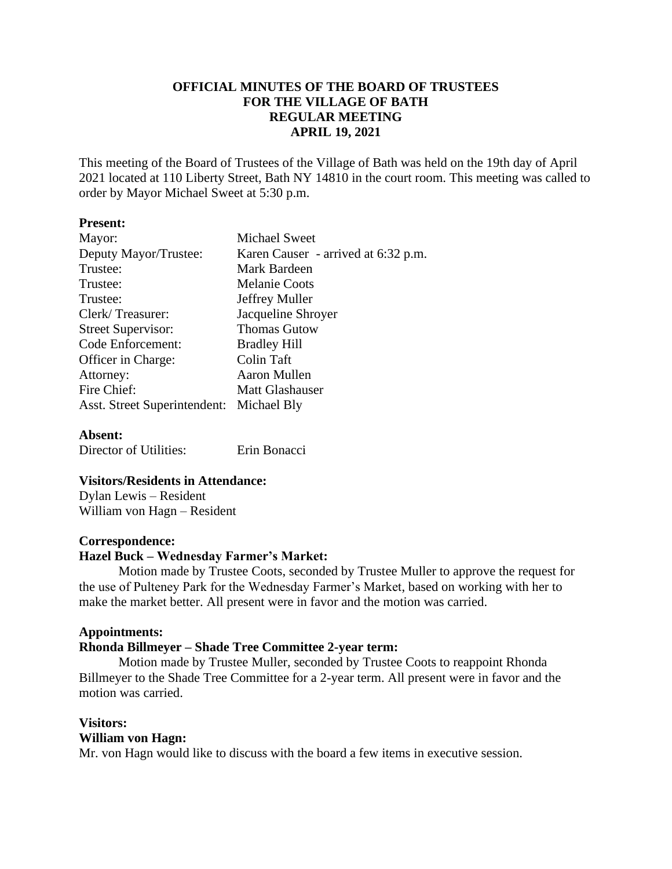# **OFFICIAL MINUTES OF THE BOARD OF TRUSTEES FOR THE VILLAGE OF BATH REGULAR MEETING APRIL 19, 2021**

This meeting of the Board of Trustees of the Village of Bath was held on the 19th day of April 2021 located at 110 Liberty Street, Bath NY 14810 in the court room. This meeting was called to order by Mayor Michael Sweet at 5:30 p.m.

## **Present:**

| Mayor:                                   | <b>Michael Sweet</b>                |
|------------------------------------------|-------------------------------------|
| Deputy Mayor/Trustee:                    | Karen Causer - arrived at 6:32 p.m. |
| Trustee:                                 | Mark Bardeen                        |
| Trustee:                                 | <b>Melanie Coots</b>                |
| Trustee:                                 | Jeffrey Muller                      |
| Clerk/Treasurer:                         | Jacqueline Shroyer                  |
| <b>Street Supervisor:</b>                | <b>Thomas Gutow</b>                 |
| Code Enforcement:                        | <b>Bradley Hill</b>                 |
| Officer in Charge:                       | Colin Taft                          |
| Attorney:                                | Aaron Mullen                        |
| Fire Chief:                              | <b>Matt Glashauser</b>              |
| Asst. Street Superintendent: Michael Bly |                                     |
|                                          |                                     |

# **Absent:**

Director of Utilities: Erin Bonacci

### **Visitors/Residents in Attendance:**

Dylan Lewis – Resident William von Hagn – Resident

# **Correspondence:**

# **Hazel Buck – Wednesday Farmer's Market:**

Motion made by Trustee Coots, seconded by Trustee Muller to approve the request for the use of Pulteney Park for the Wednesday Farmer's Market, based on working with her to make the market better. All present were in favor and the motion was carried.

### **Appointments:**

### **Rhonda Billmeyer – Shade Tree Committee 2-year term:**

Motion made by Trustee Muller, seconded by Trustee Coots to reappoint Rhonda Billmeyer to the Shade Tree Committee for a 2-year term. All present were in favor and the motion was carried.

### **Visitors:**

### **William von Hagn:**

Mr. von Hagn would like to discuss with the board a few items in executive session.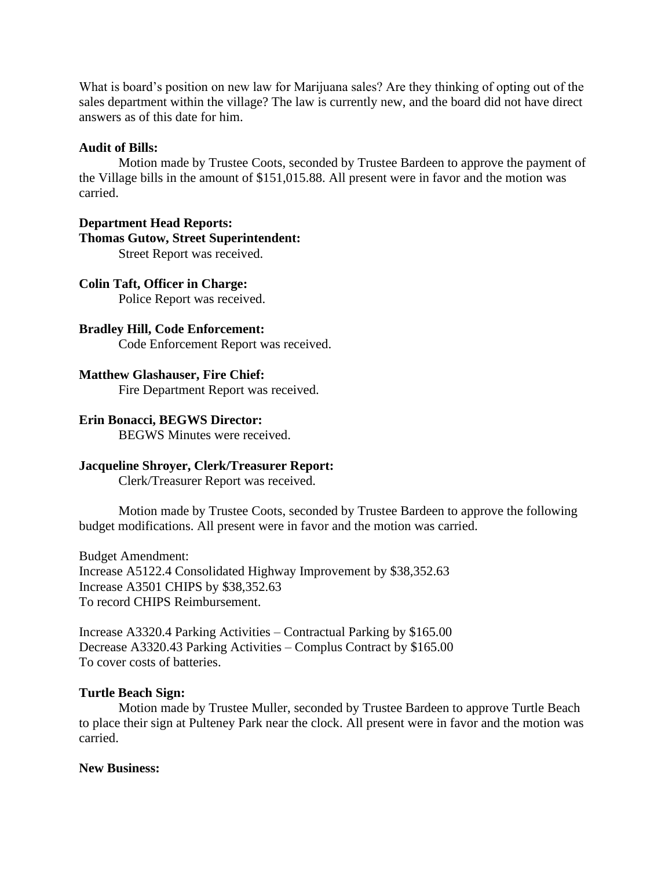What is board's position on new law for Marijuana sales? Are they thinking of opting out of the sales department within the village? The law is currently new, and the board did not have direct answers as of this date for him.

# **Audit of Bills:**

Motion made by Trustee Coots, seconded by Trustee Bardeen to approve the payment of the Village bills in the amount of \$151,015.88. All present were in favor and the motion was carried.

### **Department Head Reports:**

### **Thomas Gutow, Street Superintendent:**

Street Report was received.

**Colin Taft, Officer in Charge:** Police Report was received.

# **Bradley Hill, Code Enforcement:**

Code Enforcement Report was received.

## **Matthew Glashauser, Fire Chief:**

Fire Department Report was received.

## **Erin Bonacci, BEGWS Director:**

BEGWS Minutes were received.

### **Jacqueline Shroyer, Clerk/Treasurer Report:**

Clerk/Treasurer Report was received.

Motion made by Trustee Coots, seconded by Trustee Bardeen to approve the following budget modifications. All present were in favor and the motion was carried.

Budget Amendment: Increase A5122.4 Consolidated Highway Improvement by \$38,352.63 Increase A3501 CHIPS by \$38,352.63 To record CHIPS Reimbursement.

Increase A3320.4 Parking Activities – Contractual Parking by \$165.00 Decrease A3320.43 Parking Activities – Complus Contract by \$165.00 To cover costs of batteries.

### **Turtle Beach Sign:**

Motion made by Trustee Muller, seconded by Trustee Bardeen to approve Turtle Beach to place their sign at Pulteney Park near the clock. All present were in favor and the motion was carried.

### **New Business:**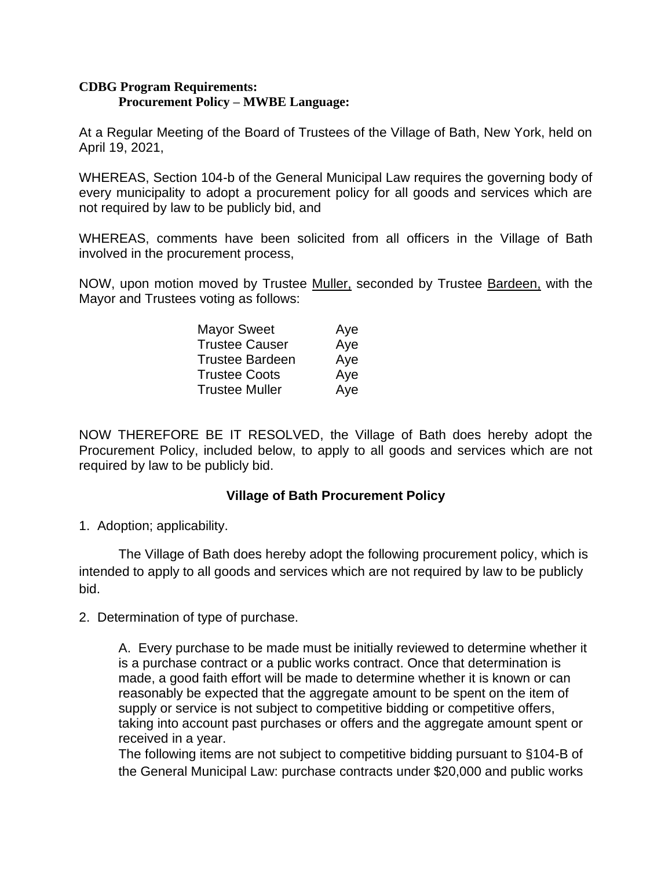# **CDBG Program Requirements: Procurement Policy – MWBE Language:**

At a Regular Meeting of the Board of Trustees of the Village of Bath, New York, held on April 19, 2021,

WHEREAS, Section 104-b of the General Municipal Law requires the governing body of every municipality to adopt a procurement policy for all goods and services which are not required by law to be publicly bid, and

WHEREAS, comments have been solicited from all officers in the Village of Bath involved in the procurement process,

NOW, upon motion moved by Trustee Muller, seconded by Trustee Bardeen, with the Mayor and Trustees voting as follows:

| <b>Mayor Sweet</b>     | Aye |
|------------------------|-----|
| <b>Trustee Causer</b>  | Aye |
| <b>Trustee Bardeen</b> | Aye |
| <b>Trustee Coots</b>   | Aye |
| <b>Trustee Muller</b>  | Aye |

NOW THEREFORE BE IT RESOLVED, the Village of Bath does hereby adopt the Procurement Policy, included below, to apply to all goods and services which are not required by law to be publicly bid.

# **Village of Bath Procurement Policy**

1. Adoption; applicability.

The Village of Bath does hereby adopt the following procurement policy, which is intended to apply to all goods and services which are not required by law to be publicly bid.

2. Determination of type of purchase.

A. Every purchase to be made must be initially reviewed to determine whether it is a purchase contract or a public works contract. Once that determination is made, a good faith effort will be made to determine whether it is known or can reasonably be expected that the aggregate amount to be spent on the item of supply or service is not subject to competitive bidding or competitive offers, taking into account past purchases or offers and the aggregate amount spent or received in a year.

The following items are not subject to competitive bidding pursuant to §104-B of the General Municipal Law: purchase contracts under \$20,000 and public works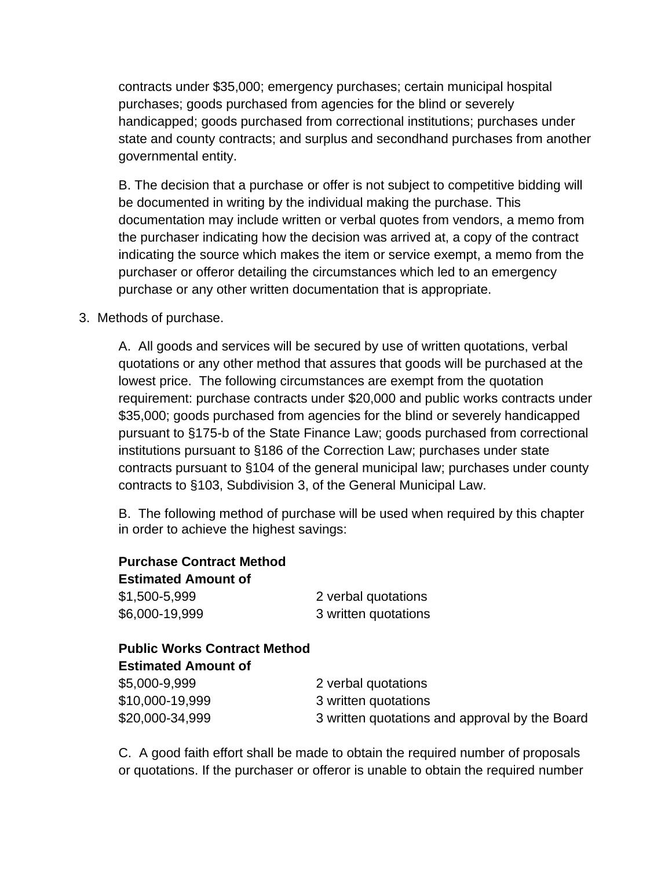contracts under \$35,000; emergency purchases; certain municipal hospital purchases; goods purchased from agencies for the blind or severely handicapped; goods purchased from correctional institutions; purchases under state and county contracts; and surplus and secondhand purchases from another governmental entity.

B. The decision that a purchase or offer is not subject to competitive bidding will be documented in writing by the individual making the purchase. This documentation may include written or verbal quotes from vendors, a memo from the purchaser indicating how the decision was arrived at, a copy of the contract indicating the source which makes the item or service exempt, a memo from the purchaser or offeror detailing the circumstances which led to an emergency purchase or any other written documentation that is appropriate.

3. Methods of purchase.

A. All goods and services will be secured by use of written quotations, verbal quotations or any other method that assures that goods will be purchased at the lowest price. The following circumstances are exempt from the quotation requirement: purchase contracts under \$20,000 and public works contracts under \$35,000; goods purchased from agencies for the blind or severely handicapped pursuant to §175-b of the State Finance Law; goods purchased from correctional institutions pursuant to §186 of the Correction Law; purchases under state contracts pursuant to §104 of the general municipal law; purchases under county contracts to §103, Subdivision 3, of the General Municipal Law.

B. The following method of purchase will be used when required by this chapter in order to achieve the highest savings:

# **Purchase Contract Method**

**Estimated Amount of**

\$6,000-19,999 3 written quotations

\$1,500-5,999 2 verbal quotations

# **Public Works Contract Method Estimated Amount of**

\$5,000-9,999 2 verbal quotations \$10,000-19,999 3 written quotations \$20,000-34,999 3 written quotations and approval by the Board

C. A good faith effort shall be made to obtain the required number of proposals or quotations. If the purchaser or offeror is unable to obtain the required number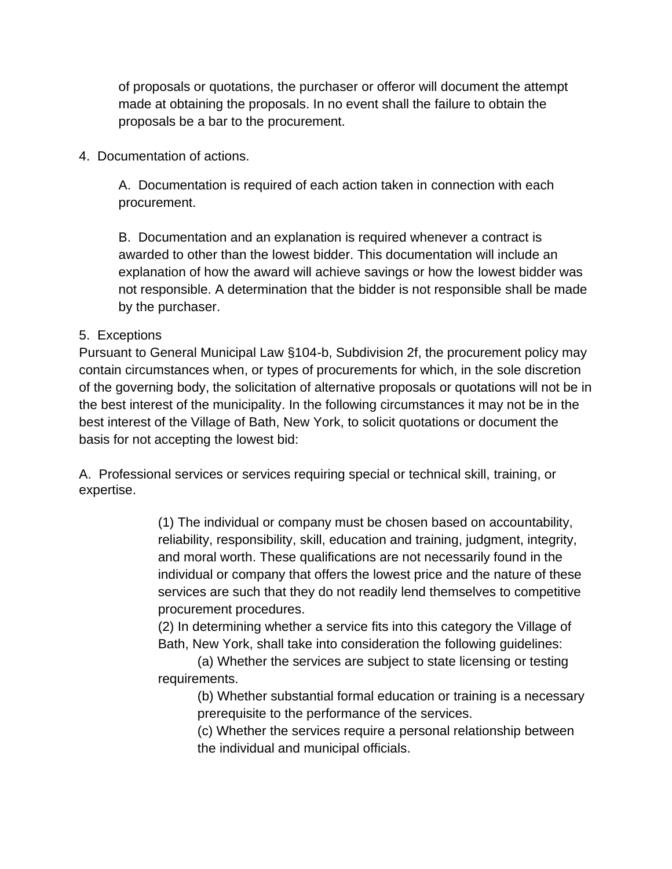of proposals or quotations, the purchaser or offeror will document the attempt made at obtaining the proposals. In no event shall the failure to obtain the proposals be a bar to the procurement.

4. Documentation of actions.

A. Documentation is required of each action taken in connection with each procurement.

B. Documentation and an explanation is required whenever a contract is awarded to other than the lowest bidder. This documentation will include an explanation of how the award will achieve savings or how the lowest bidder was not responsible. A determination that the bidder is not responsible shall be made by the purchaser.

# 5. Exceptions

Pursuant to General Municipal Law §104-b, Subdivision 2f, the procurement policy may contain circumstances when, or types of procurements for which, in the sole discretion of the governing body, the solicitation of alternative proposals or quotations will not be in the best interest of the municipality. In the following circumstances it may not be in the best interest of the Village of Bath, New York, to solicit quotations or document the basis for not accepting the lowest bid:

A. Professional services or services requiring special or technical skill, training, or expertise.

> (1) The individual or company must be chosen based on accountability, reliability, responsibility, skill, education and training, judgment, integrity, and moral worth. These qualifications are not necessarily found in the individual or company that offers the lowest price and the nature of these services are such that they do not readily lend themselves to competitive procurement procedures.

(2) In determining whether a service fits into this category the Village of Bath, New York, shall take into consideration the following guidelines:

(a) Whether the services are subject to state licensing or testing requirements.

(b) Whether substantial formal education or training is a necessary prerequisite to the performance of the services.

(c) Whether the services require a personal relationship between the individual and municipal officials.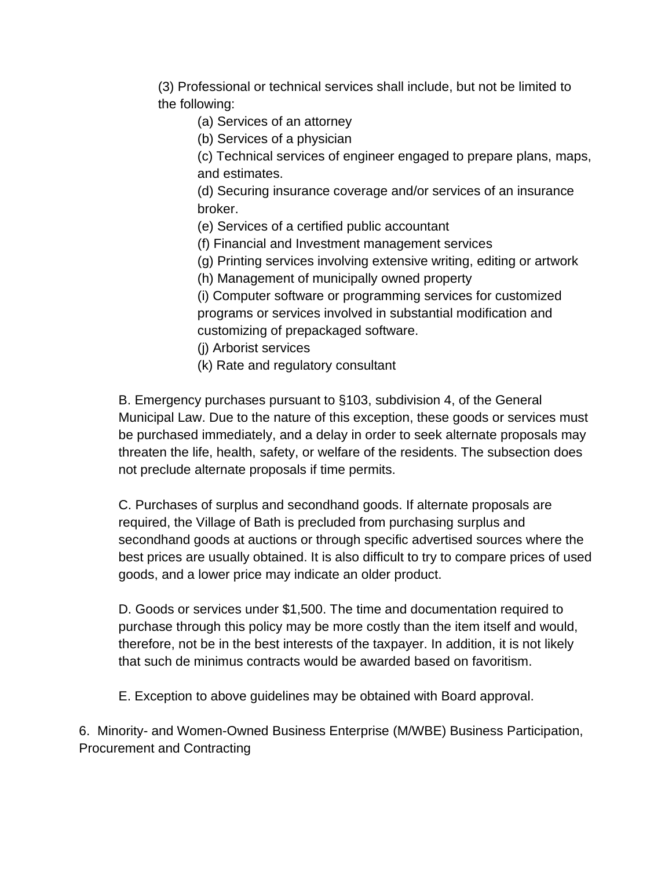(3) Professional or technical services shall include, but not be limited to the following:

(a) Services of an attorney

(b) Services of a physician

(c) Technical services of engineer engaged to prepare plans, maps, and estimates.

(d) Securing insurance coverage and/or services of an insurance broker.

(e) Services of a certified public accountant

(f) Financial and Investment management services

(g) Printing services involving extensive writing, editing or artwork

(h) Management of municipally owned property

(i) Computer software or programming services for customized programs or services involved in substantial modification and customizing of prepackaged software.

(j) Arborist services

(k) Rate and regulatory consultant

B. Emergency purchases pursuant to §103, subdivision 4, of the General Municipal Law. Due to the nature of this exception, these goods or services must be purchased immediately, and a delay in order to seek alternate proposals may threaten the life, health, safety, or welfare of the residents. The subsection does not preclude alternate proposals if time permits.

C. Purchases of surplus and secondhand goods. If alternate proposals are required, the Village of Bath is precluded from purchasing surplus and secondhand goods at auctions or through specific advertised sources where the best prices are usually obtained. It is also difficult to try to compare prices of used goods, and a lower price may indicate an older product.

D. Goods or services under \$1,500. The time and documentation required to purchase through this policy may be more costly than the item itself and would, therefore, not be in the best interests of the taxpayer. In addition, it is not likely that such de minimus contracts would be awarded based on favoritism.

E. Exception to above guidelines may be obtained with Board approval.

6. Minority- and Women-Owned Business Enterprise (M/WBE) Business Participation, Procurement and Contracting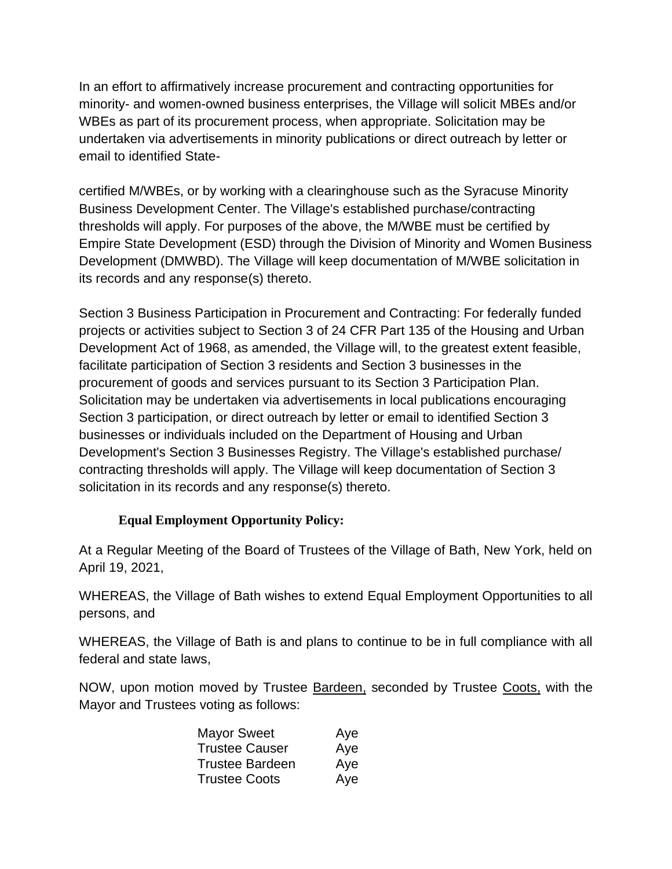In an effort to affirmatively increase procurement and contracting opportunities for minority- and women-owned business enterprises, the Village will solicit MBEs and/or WBEs as part of its procurement process, when appropriate. Solicitation may be undertaken via advertisements in minority publications or direct outreach by letter or email to identified State-

certified M/WBEs, or by working with a clearinghouse such as the Syracuse Minority Business Development Center. The Village's established purchase/contracting thresholds will apply. For purposes of the above, the M/WBE must be certified by Empire State Development (ESD) through the Division of Minority and Women Business Development (DMWBD). The Village will keep documentation of M/WBE solicitation in its records and any response(s) thereto.

Section 3 Business Participation in Procurement and Contracting: For federally funded projects or activities subject to Section 3 of 24 CFR Part 135 of the Housing and Urban Development Act of 1968, as amended, the Village will, to the greatest extent feasible, facilitate participation of Section 3 residents and Section 3 businesses in the procurement of goods and services pursuant to its Section 3 Participation Plan. Solicitation may be undertaken via advertisements in local publications encouraging Section 3 participation, or direct outreach by letter or email to identified Section 3 businesses or individuals included on the Department of Housing and Urban Development's Section 3 Businesses Registry. The Village's established purchase/ contracting thresholds will apply. The Village will keep documentation of Section 3 solicitation in its records and any response(s) thereto.

# **Equal Employment Opportunity Policy:**

At a Regular Meeting of the Board of Trustees of the Village of Bath, New York, held on April 19, 2021,

WHEREAS, the Village of Bath wishes to extend Equal Employment Opportunities to all persons, and

WHEREAS, the Village of Bath is and plans to continue to be in full compliance with all federal and state laws,

NOW, upon motion moved by Trustee Bardeen, seconded by Trustee Coots, with the Mayor and Trustees voting as follows:

| <b>Mayor Sweet</b>     | Aye |
|------------------------|-----|
| <b>Trustee Causer</b>  | Aye |
| <b>Trustee Bardeen</b> | Aye |
| <b>Trustee Coots</b>   | Aye |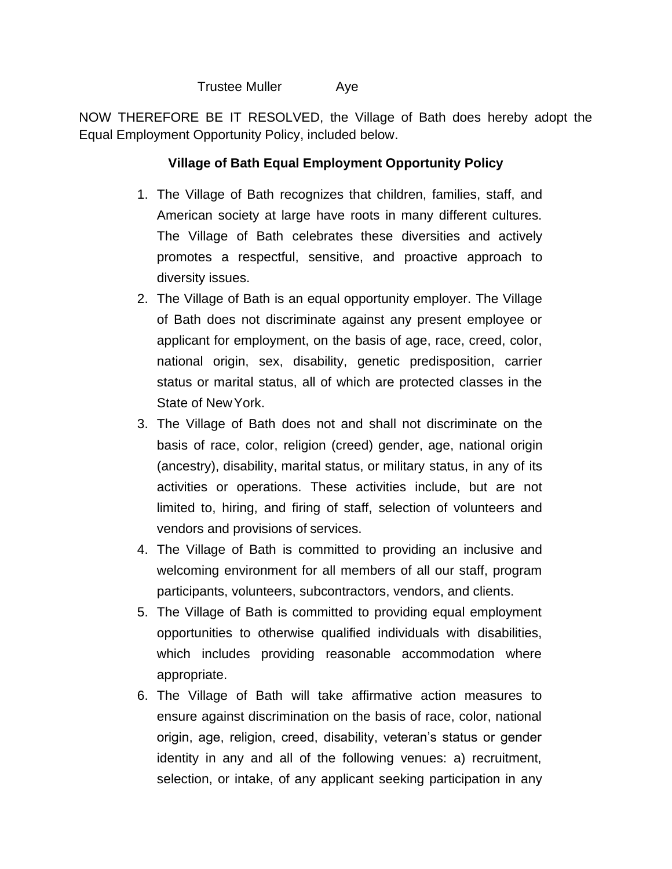# Trustee Muller **Aye**

NOW THEREFORE BE IT RESOLVED, the Village of Bath does hereby adopt the Equal Employment Opportunity Policy, included below.

# **Village of Bath Equal Employment Opportunity Policy**

- 1. The Village of Bath recognizes that children, families, staff, and American society at large have roots in many different cultures. The Village of Bath celebrates these diversities and actively promotes a respectful, sensitive, and proactive approach to diversity issues.
- 2. The Village of Bath is an equal opportunity employer. The Village of Bath does not discriminate against any present employee or applicant for employment, on the basis of age, race, creed, color, national origin, sex, disability, genetic predisposition, carrier status or marital status, all of which are protected classes in the State of NewYork.
- 3. The Village of Bath does not and shall not discriminate on the basis of race, color, religion (creed) gender, age, national origin (ancestry), disability, marital status, or military status, in any of its activities or operations. These activities include, but are not limited to, hiring, and firing of staff, selection of volunteers and vendors and provisions of services.
- 4. The Village of Bath is committed to providing an inclusive and welcoming environment for all members of all our staff, program participants, volunteers, subcontractors, vendors, and clients.
- 5. The Village of Bath is committed to providing equal employment opportunities to otherwise qualified individuals with disabilities, which includes providing reasonable accommodation where appropriate.
- 6. The Village of Bath will take affirmative action measures to ensure against discrimination on the basis of race, color, national origin, age, religion, creed, disability, veteran's status or gender identity in any and all of the following venues: a) recruitment, selection, or intake, of any applicant seeking participation in any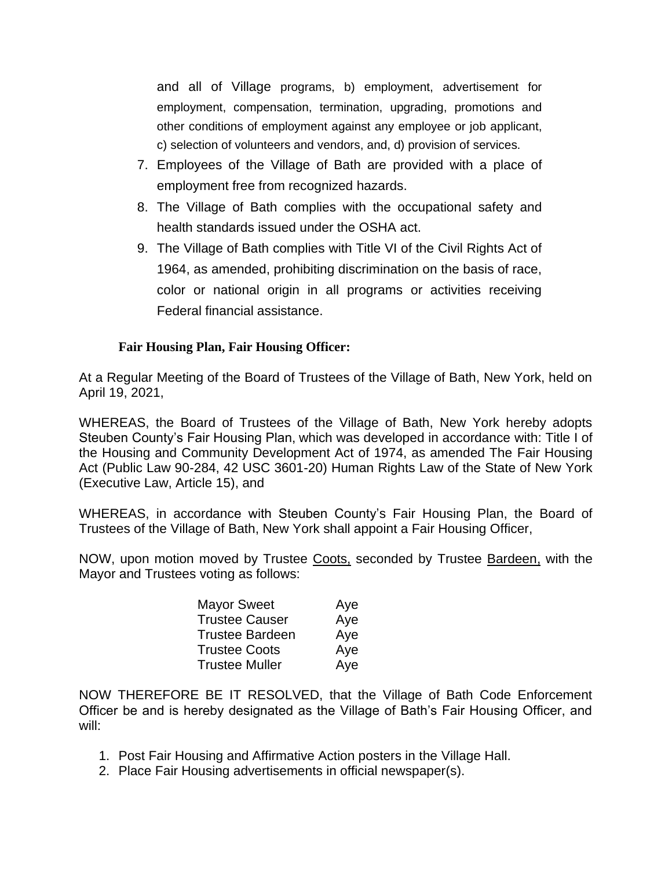and all of Village programs, b) employment, advertisement for employment, compensation, termination, upgrading, promotions and other conditions of employment against any employee or job applicant, c) selection of volunteers and vendors, and, d) provision of services.

- 7. Employees of the Village of Bath are provided with a place of employment free from recognized hazards.
- 8. The Village of Bath complies with the occupational safety and health standards issued under the OSHA act.
- 9. The Village of Bath complies with Title VI of the Civil Rights Act of 1964, as amended, prohibiting discrimination on the basis of race, color or national origin in all programs or activities receiving Federal financial assistance.

# **Fair Housing Plan, Fair Housing Officer:**

At a Regular Meeting of the Board of Trustees of the Village of Bath, New York, held on April 19, 2021,

WHEREAS, the Board of Trustees of the Village of Bath, New York hereby adopts Steuben County's Fair Housing Plan, which was developed in accordance with: Title I of the Housing and Community Development Act of 1974, as amended The Fair Housing Act (Public Law 90-284, 42 USC 3601-20) Human Rights Law of the State of New York (Executive Law, Article 15), and

WHEREAS, in accordance with Steuben County's Fair Housing Plan, the Board of Trustees of the Village of Bath, New York shall appoint a Fair Housing Officer,

NOW, upon motion moved by Trustee Coots, seconded by Trustee Bardeen, with the Mayor and Trustees voting as follows:

| <b>Mayor Sweet</b>     | Aye |
|------------------------|-----|
| <b>Trustee Causer</b>  | Aye |
| <b>Trustee Bardeen</b> | Aye |
| <b>Trustee Coots</b>   | Aye |
| <b>Trustee Muller</b>  | Aye |

NOW THEREFORE BE IT RESOLVED, that the Village of Bath Code Enforcement Officer be and is hereby designated as the Village of Bath's Fair Housing Officer, and will:

- 1. Post Fair Housing and Affirmative Action posters in the Village Hall.
- 2. Place Fair Housing advertisements in official newspaper(s).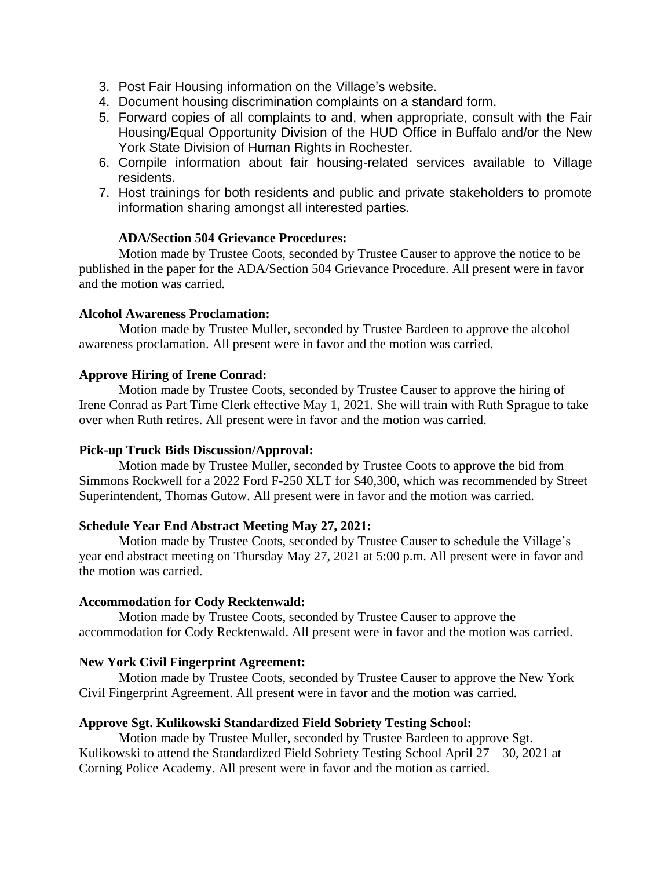- 3. Post Fair Housing information on the Village's website.
- 4. Document housing discrimination complaints on a standard form.
- 5. Forward copies of all complaints to and, when appropriate, consult with the Fair Housing/Equal Opportunity Division of the HUD Office in Buffalo and/or the New York State Division of Human Rights in Rochester.
- 6. Compile information about fair housing-related services available to Village residents.
- 7. Host trainings for both residents and public and private stakeholders to promote information sharing amongst all interested parties.

# **ADA/Section 504 Grievance Procedures:**

Motion made by Trustee Coots, seconded by Trustee Causer to approve the notice to be published in the paper for the ADA/Section 504 Grievance Procedure. All present were in favor and the motion was carried.

# **Alcohol Awareness Proclamation:**

Motion made by Trustee Muller, seconded by Trustee Bardeen to approve the alcohol awareness proclamation. All present were in favor and the motion was carried.

# **Approve Hiring of Irene Conrad:**

Motion made by Trustee Coots, seconded by Trustee Causer to approve the hiring of Irene Conrad as Part Time Clerk effective May 1, 2021. She will train with Ruth Sprague to take over when Ruth retires. All present were in favor and the motion was carried.

# **Pick-up Truck Bids Discussion/Approval:**

Motion made by Trustee Muller, seconded by Trustee Coots to approve the bid from Simmons Rockwell for a 2022 Ford F-250 XLT for \$40,300, which was recommended by Street Superintendent, Thomas Gutow. All present were in favor and the motion was carried.

# **Schedule Year End Abstract Meeting May 27, 2021:**

Motion made by Trustee Coots, seconded by Trustee Causer to schedule the Village's year end abstract meeting on Thursday May 27, 2021 at 5:00 p.m. All present were in favor and the motion was carried.

# **Accommodation for Cody Recktenwald:**

Motion made by Trustee Coots, seconded by Trustee Causer to approve the accommodation for Cody Recktenwald. All present were in favor and the motion was carried.

# **New York Civil Fingerprint Agreement:**

Motion made by Trustee Coots, seconded by Trustee Causer to approve the New York Civil Fingerprint Agreement. All present were in favor and the motion was carried.

# **Approve Sgt. Kulikowski Standardized Field Sobriety Testing School:**

Motion made by Trustee Muller, seconded by Trustee Bardeen to approve Sgt. Kulikowski to attend the Standardized Field Sobriety Testing School April 27 – 30, 2021 at Corning Police Academy. All present were in favor and the motion as carried.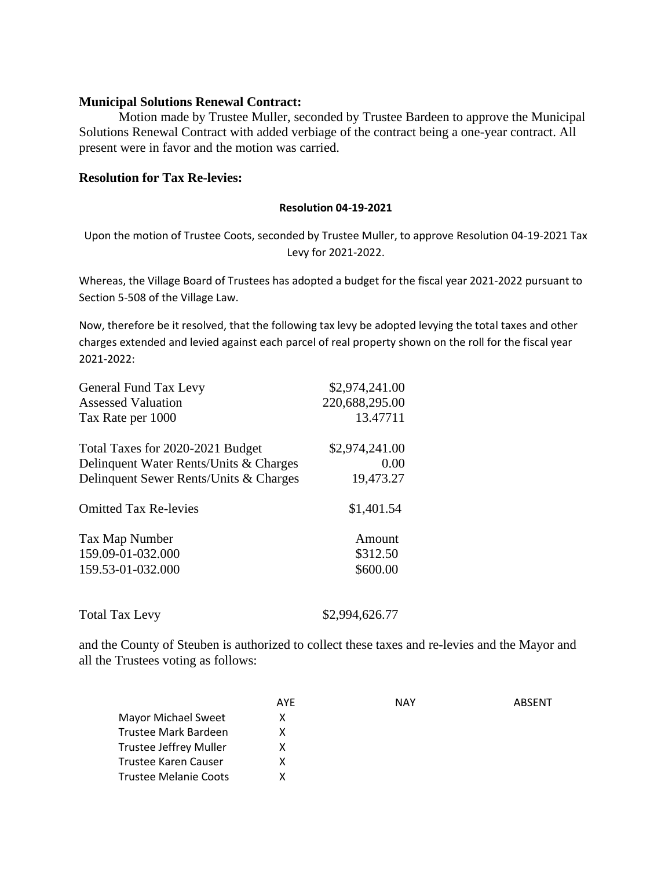## **Municipal Solutions Renewal Contract:**

Motion made by Trustee Muller, seconded by Trustee Bardeen to approve the Municipal Solutions Renewal Contract with added verbiage of the contract being a one-year contract. All present were in favor and the motion was carried.

# **Resolution for Tax Re-levies:**

#### **Resolution 04-19-2021**

Upon the motion of Trustee Coots, seconded by Trustee Muller, to approve Resolution 04-19-2021 Tax Levy for 2021-2022.

Whereas, the Village Board of Trustees has adopted a budget for the fiscal year 2021-2022 pursuant to Section 5-508 of the Village Law.

Now, therefore be it resolved, that the following tax levy be adopted levying the total taxes and other charges extended and levied against each parcel of real property shown on the roll for the fiscal year 2021-2022:

| General Fund Tax Levy                  | \$2,974,241.00 |
|----------------------------------------|----------------|
| <b>Assessed Valuation</b>              | 220,688,295.00 |
| Tax Rate per 1000                      | 13.47711       |
| Total Taxes for 2020-2021 Budget       | \$2,974,241.00 |
| Delinquent Water Rents/Units & Charges | 0.00           |
| Delinquent Sewer Rents/Units & Charges | 19,473.27      |
| <b>Omitted Tax Re-levies</b>           | \$1,401.54     |
| Tax Map Number                         | Amount         |
| 159.09-01-032.000                      | \$312.50       |
| 159.53-01-032.000                      | \$600.00       |
|                                        |                |

Total Tax Levy \$2,994,626.77

and the County of Steuben is authorized to collect these taxes and re-levies and the Mayor and all the Trustees voting as follows:

|                        | AYF | <b>NAY</b> | ABSENT |
|------------------------|-----|------------|--------|
| Mayor Michael Sweet    | x   |            |        |
| Trustee Mark Bardeen   |     |            |        |
| Trustee Jeffrey Muller |     |            |        |
| Trustee Karen Causer   | x   |            |        |
| Trustee Melanie Coots  |     |            |        |